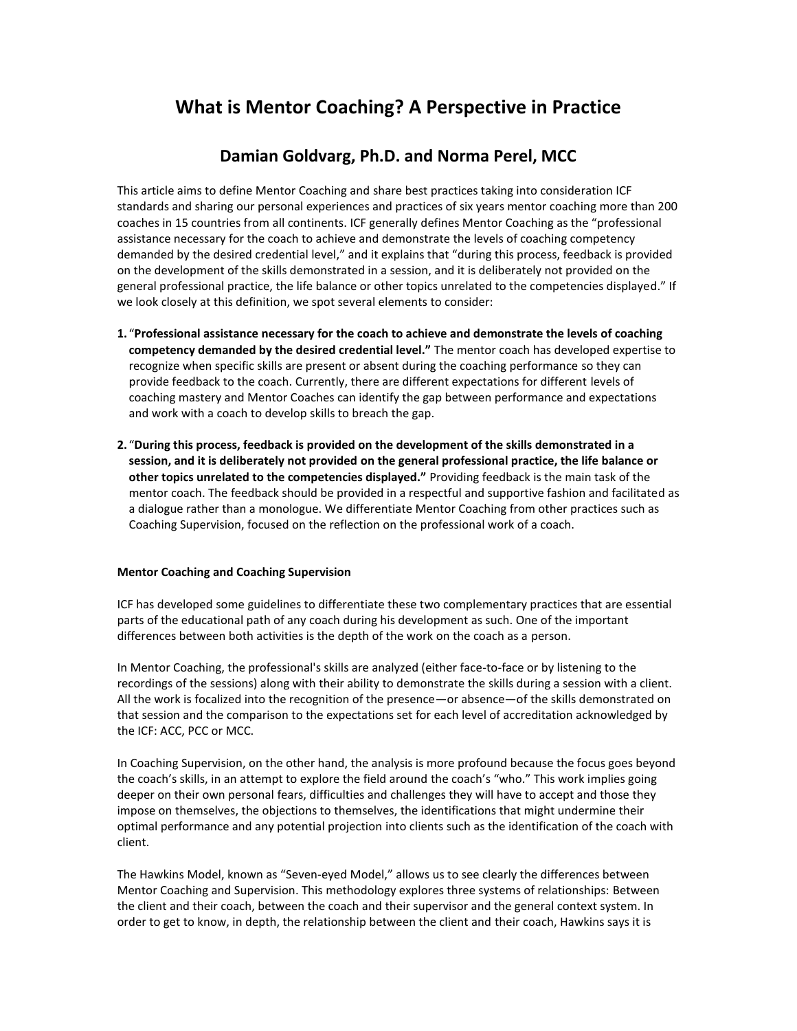# **What is Mentor Coaching? A Perspective in Practice**

# **Damian Goldvarg, Ph.D. and Norma Perel, MCC**

This article aims to define Mentor Coaching and share best practices taking into consideration ICF standards and sharing our personal experiences and practices of six years mentor coaching more than 200 coaches in 15 countries from all continents. ICF generally defines Mentor Coaching as the "professional assistance necessary for the coach to achieve and demonstrate the levels of coaching competency demanded by the desired credential level," and it explains that "during this process, feedback is provided on the development of the skills demonstrated in a session, and it is deliberately not provided on the general professional practice, the life balance or other topics unrelated to the competencies displayed." If we look closely at this definition, we spot several elements to consider:

- **1.** "**Professional assistance necessary for the coach to achieve and demonstrate the levels of coaching competency demanded by the desired credential level."** The mentor coach has developed expertise to recognize when specific skills are present or absent during the coaching performance so they can provide feedback to the coach. Currently, there are different expectations for different levels of coaching mastery and Mentor Coaches can identify the gap between performance and expectations and work with a coach to develop skills to breach the gap.
- **2.** "**During this process, feedback is provided on the development of the skills demonstrated in a session, and it is deliberately not provided on the general professional practice, the life balance or other topics unrelated to the competencies displayed."** Providing feedback is the main task of the mentor coach. The feedback should be provided in a respectful and supportive fashion and facilitated as a dialogue rather than a monologue. We differentiate Mentor Coaching from other practices such as Coaching Supervision, focused on the reflection on the professional work of a coach.

#### **Mentor Coaching and Coaching Supervision**

ICF has developed some guidelines to differentiate these two complementary practices that are essential parts of the educational path of any coach during his development as such. One of the important differences between both activities is the depth of the work on the coach as a person.

In Mentor Coaching, the professional's skills are analyzed (either face-to-face or by listening to the recordings of the sessions) along with their ability to demonstrate the skills during a session with a client. All the work is focalized into the recognition of the presence—or absence—of the skills demonstrated on that session and the comparison to the expectations set for each level of accreditation acknowledged by the ICF: ACC, PCC or MCC.

In Coaching Supervision, on the other hand, the analysis is more profound because the focus goes beyond the coach's skills, in an attempt to explore the field around the coach's "who." This work implies going deeper on their own personal fears, difficulties and challenges they will have to accept and those they impose on themselves, the objections to themselves, the identifications that might undermine their optimal performance and any potential projection into clients such as the identification of the coach with client.

The Hawkins Model, known as "Seven-eyed Model," allows us to see clearly the differences between Mentor Coaching and Supervision. This methodology explores three systems of relationships: Between the client and their coach, between the coach and their supervisor and the general context system. In order to get to know, in depth, the relationship between the client and their coach, Hawkins says it is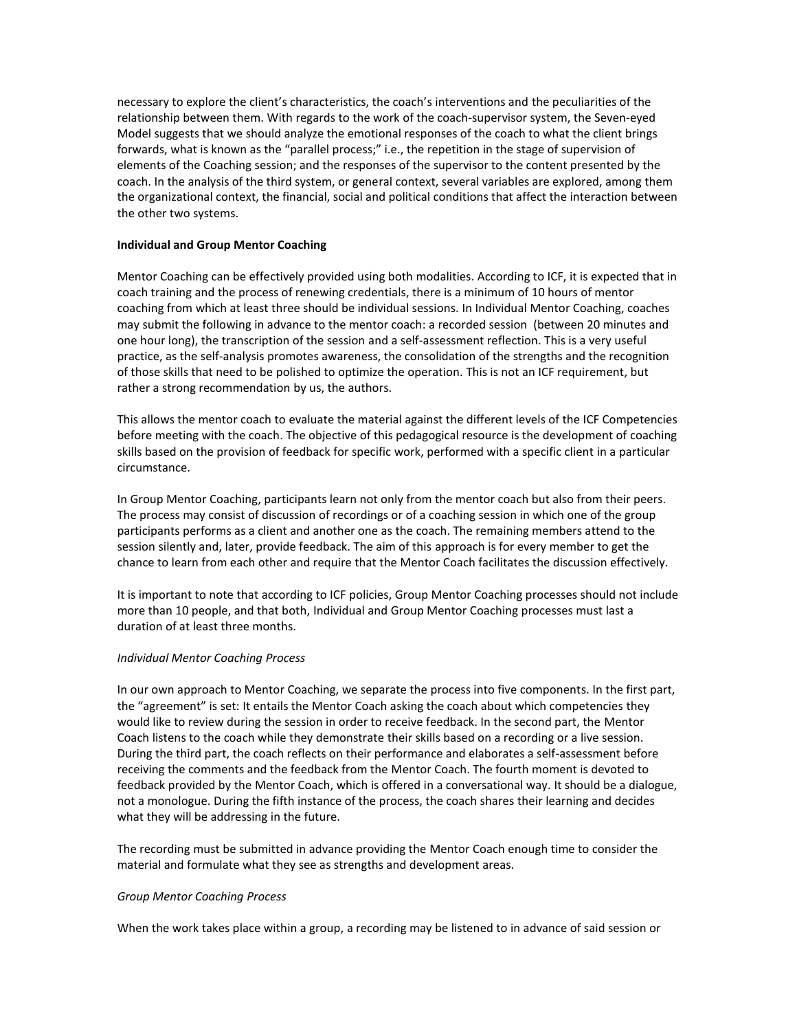necessary to explore the client's characteristics, the coach's interventions and the peculiarities of the relationship between them. With regards to the work of the coach-supervisor system, the Seven-eyed Model suggests that we should analyze the emotional responses of the coach to what the client brings forwards, what is known as the "parallel process;" i.e., the repetition in the stage of supervision of elements of the Coaching session; and the responses of the supervisor to the content presented by the coach. In the analysis of the third system, or general context, several variables are explored, among them the organizational context, the financial, social and political conditions that affect the interaction between the other two systems.

### **Individual and Group Mentor Coaching**

Mentor Coaching can be effectively provided using both modalities. According to ICF, it is expected that in coach training and the process of renewing credentials, there is a minimum of 10 hours of mentor coaching from which at least three should be individual sessions. In Individual Mentor Coaching, coaches may submit the following in advance to the mentor coach: a recorded session (between 20 minutes and one hour long), the transcription of the session and a self-assessment reflection. This is a very useful practice, as the self-analysis promotes awareness, the consolidation of the strengths and the recognition of those skills that need to be polished to optimize the operation. This is not an ICF requirement, but rather a strong recommendation by us, the authors.

This allows the mentor coach to evaluate the material against the different levels of the ICF Competencies before meeting with the coach. The objective of this pedagogical resource is the development of coaching skills based on the provision of feedback for specific work, performed with a specific client in a particular circumstance.

In Group Mentor Coaching, participants learn not only from the mentor coach but also from their peers. The process may consist of discussion of recordings or of a coaching session in which one of the group participants performs as a client and another one as the coach. The remaining members attend to the session silently and, later, provide feedback. The aim of this approach is for every member to get the chance to learn from each other and require that the Mentor Coach facilitates the discussion effectively.

It is important to note that according to ICF policies, Group Mentor Coaching processes should not include more than 10 people, and that both, Individual and Group Mentor Coaching processes must last a duration of at least three months.

#### *Individual Mentor Coaching Process*

In our own approach to Mentor Coaching, we separate the process into five components. In the first part, the "agreement" is set: It entails the Mentor Coach asking the coach about which competencies they would like to review during the session in order to receive feedback. In the second part, the Mentor Coach listens to the coach while they demonstrate their skills based on a recording or a live session. During the third part, the coach reflects on their performance and elaborates a self-assessment before receiving the comments and the feedback from the Mentor Coach. The fourth moment is devoted to feedback provided by the Mentor Coach, which is offered in a conversational way. It should be a dialogue, not a monologue. During the fifth instance of the process, the coach shares their learning and decides what they will be addressing in the future.

The recording must be submitted in advance providing the Mentor Coach enough time to consider the material and formulate what they see as strengths and development areas.

#### *Group Mentor Coaching Process*

When the work takes place within a group, a recording may be listened to in advance of said session or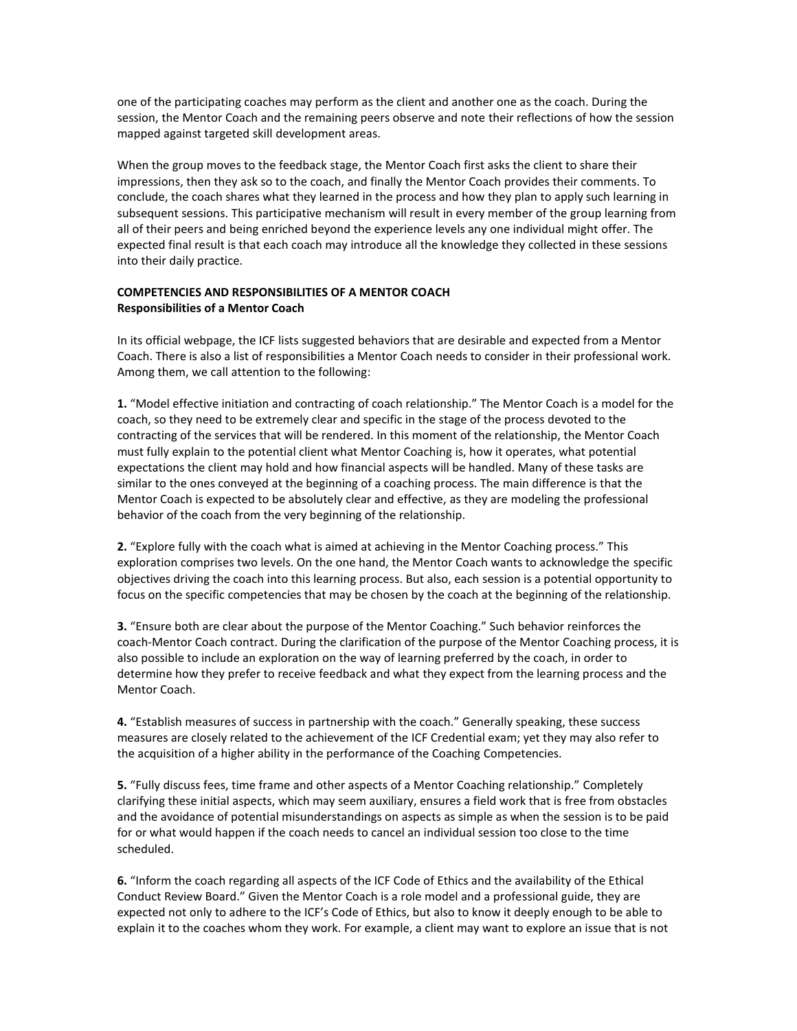one of the participating coaches may perform as the client and another one as the coach. During the session, the Mentor Coach and the remaining peers observe and note their reflections of how the session mapped against targeted skill development areas.

When the group moves to the feedback stage, the Mentor Coach first asks the client to share their impressions, then they ask so to the coach, and finally the Mentor Coach provides their comments. To conclude, the coach shares what they learned in the process and how they plan to apply such learning in subsequent sessions. This participative mechanism will result in every member of the group learning from all of their peers and being enriched beyond the experience levels any one individual might offer. The expected final result is that each coach may introduce all the knowledge they collected in these sessions into their daily practice.

## **COMPETENCIES AND RESPONSIBILITIES OF A MENTOR COACH Responsibilities of a Mentor Coach**

In its official webpage, the ICF lists suggested behaviors that are desirable and expected from a Mentor Coach. There is also a list of responsibilities a Mentor Coach needs to consider in their professional work. Among them, we call attention to the following:

**1.** "Model effective initiation and contracting of coach relationship." The Mentor Coach is a model for the coach, so they need to be extremely clear and specific in the stage of the process devoted to the contracting of the services that will be rendered. In this moment of the relationship, the Mentor Coach must fully explain to the potential client what Mentor Coaching is, how it operates, what potential expectations the client may hold and how financial aspects will be handled. Many of these tasks are similar to the ones conveyed at the beginning of a coaching process. The main difference is that the Mentor Coach is expected to be absolutely clear and effective, as they are modeling the professional behavior of the coach from the very beginning of the relationship.

**2.** "Explore fully with the coach what is aimed at achieving in the Mentor Coaching process." This exploration comprises two levels. On the one hand, the Mentor Coach wants to acknowledge the specific objectives driving the coach into this learning process. But also, each session is a potential opportunity to focus on the specific competencies that may be chosen by the coach at the beginning of the relationship.

**3.** "Ensure both are clear about the purpose of the Mentor Coaching." Such behavior reinforces the coach-Mentor Coach contract. During the clarification of the purpose of the Mentor Coaching process, it is also possible to include an exploration on the way of learning preferred by the coach, in order to determine how they prefer to receive feedback and what they expect from the learning process and the Mentor Coach.

**4.** "Establish measures of success in partnership with the coach." Generally speaking, these success measures are closely related to the achievement of the ICF Credential exam; yet they may also refer to the acquisition of a higher ability in the performance of the Coaching Competencies.

**5.** "Fully discuss fees, time frame and other aspects of a Mentor Coaching relationship." Completely clarifying these initial aspects, which may seem auxiliary, ensures a field work that is free from obstacles and the avoidance of potential misunderstandings on aspects as simple as when the session is to be paid for or what would happen if the coach needs to cancel an individual session too close to the time scheduled.

**6.** "Inform the coach regarding all aspects of the ICF Code of Ethics and the availability of the Ethical Conduct Review Board." Given the Mentor Coach is a role model and a professional guide, they are expected not only to adhere to the ICF's Code of Ethics, but also to know it deeply enough to be able to explain it to the coaches whom they work. For example, a client may want to explore an issue that is not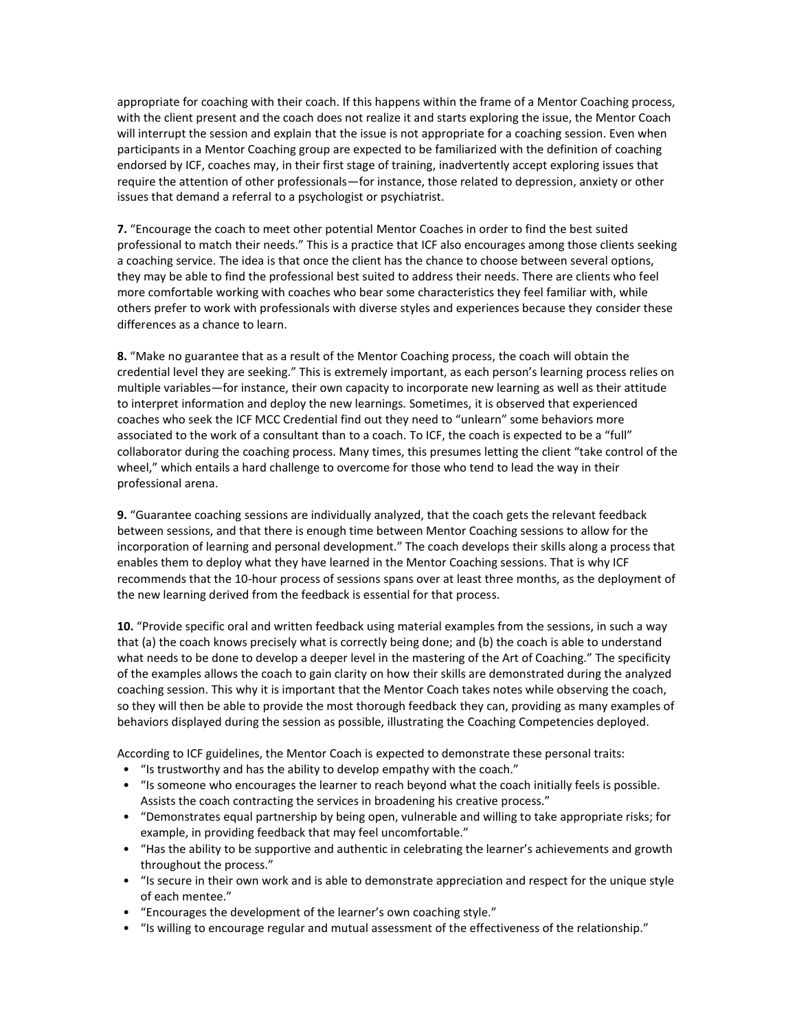appropriate for coaching with their coach. If this happens within the frame of a Mentor Coaching process, with the client present and the coach does not realize it and starts exploring the issue, the Mentor Coach will interrupt the session and explain that the issue is not appropriate for a coaching session. Even when participants in a Mentor Coaching group are expected to be familiarized with the definition of coaching endorsed by ICF, coaches may, in their first stage of training, inadvertently accept exploring issues that require the attention of other professionals—for instance, those related to depression, anxiety or other issues that demand a referral to a psychologist or psychiatrist.

**7.** "Encourage the coach to meet other potential Mentor Coaches in order to find the best suited professional to match their needs." This is a practice that ICF also encourages among those clients seeking a coaching service. The idea is that once the client has the chance to choose between several options, they may be able to find the professional best suited to address their needs. There are clients who feel more comfortable working with coaches who bear some characteristics they feel familiar with, while others prefer to work with professionals with diverse styles and experiences because they consider these differences as a chance to learn.

**8.** "Make no guarantee that as a result of the Mentor Coaching process, the coach will obtain the credential level they are seeking." This is extremely important, as each person's learning process relies on multiple variables—for instance, their own capacity to incorporate new learning as well as their attitude to interpret information and deploy the new learnings. Sometimes, it is observed that experienced coaches who seek the ICF MCC Credential find out they need to "unlearn" some behaviors more associated to the work of a consultant than to a coach. To ICF, the coach is expected to be a "full" collaborator during the coaching process. Many times, this presumes letting the client "take control of the wheel," which entails a hard challenge to overcome for those who tend to lead the way in their professional arena.

**9.** "Guarantee coaching sessions are individually analyzed, that the coach gets the relevant feedback between sessions, and that there is enough time between Mentor Coaching sessions to allow for the incorporation of learning and personal development." The coach develops their skills along a process that enables them to deploy what they have learned in the Mentor Coaching sessions. That is why ICF recommends that the 10-hour process of sessions spans over at least three months, as the deployment of the new learning derived from the feedback is essential for that process.

**10.** "Provide specific oral and written feedback using material examples from the sessions, in such a way that (a) the coach knows precisely what is correctly being done; and (b) the coach is able to understand what needs to be done to develop a deeper level in the mastering of the Art of Coaching." The specificity of the examples allows the coach to gain clarity on how their skills are demonstrated during the analyzed coaching session. This why it is important that the Mentor Coach takes notes while observing the coach, so they will then be able to provide the most thorough feedback they can, providing as many examples of behaviors displayed during the session as possible, illustrating the Coaching Competencies deployed.

According to ICF guidelines, the Mentor Coach is expected to demonstrate these personal traits:

- "Is trustworthy and has the ability to develop empathy with the coach."
- "Is someone who encourages the learner to reach beyond what the coach initially feels is possible. Assists the coach contracting the services in broadening his creative process."
- "Demonstrates equal partnership by being open, vulnerable and willing to take appropriate risks; for example, in providing feedback that may feel uncomfortable."
- "Has the ability to be supportive and authentic in celebrating the learner's achievements and growth throughout the process."
- "Is secure in their own work and is able to demonstrate appreciation and respect for the unique style of each mentee."
- "Encourages the development of the learner's own coaching style."
- "Is willing to encourage regular and mutual assessment of the effectiveness of the relationship."